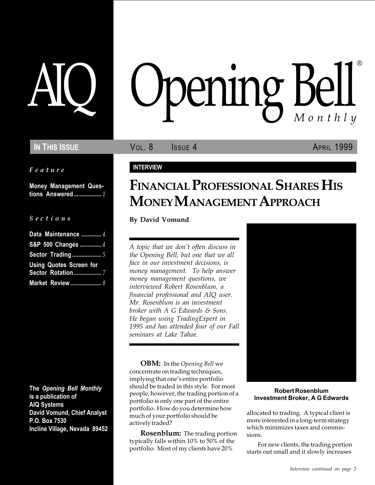Feature

Money Management Questions Answered.................. 1

#### S e c t i o n s

| Data Maintenance  4            |
|--------------------------------|
| S&P 500 Changes  4             |
| <b>Sector Trading </b> 5       |
| <b>Using Quotes Screen for</b> |
| <b>Sector Rotation</b> 7       |
| Market Review 8                |

The Opening Bell Monthly is a publication of AIQ Systems David Vomund, Chief Analyst P.O. Box 7530 Incline Village, Nevada 89452

# pening Bell ®

IN THIS ISSUE **VOL. 8** ISSUE 4 APRIL 1999

#### INTERVIEW

## FINANCIAL PROFESSIONAL SHARES HIS MONEY MANAGEMENT APPROACH

By David Vomund

A topic that we don't often discuss in the Opening Bell, but one that we all face in our investment decisions, is money management. To help answer money management questions, we interviewed Robert Rosenblum, a financial professional and AIQ user. Mr. Rosenblum is an investment broker with A G Edwards & Sons. He began using TradingExpert in 1995 and has attended four of our Fall seminars at Lake Tahoe.

**OBM:** In the Opening Bell we concentrate on trading techniques, implying that one's entire portfolio should be traded in this style. For most people, however, the trading portion of a portfolio is only one part of the entire portfolio. How do you determine how much of your portfolio should be actively traded?

**Rosenblum:** The trading portion typically falls within 10% to 50% of the portfolio. Most of my clients have 20%



#### Robert Rosenblum Investment Broker, A G Edwards

allocated to trading. A typical client is more interested in a long-term strategy which minimizes taxes and commissions.

For new clients, the trading portion starts out small and it slowly increases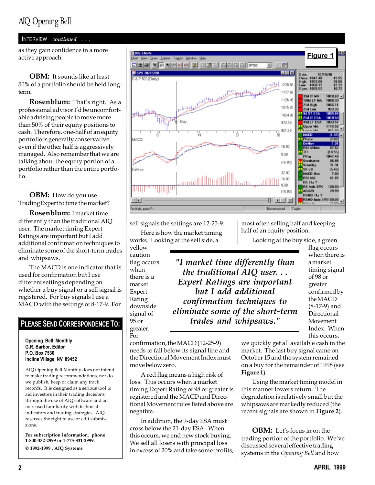#### INTERVIEW continued . . .

as they gain confidence in a more active approach.

**OBM:** It sounds like at least 50% of a portfolio should be held longterm.

**Rosenblum:** That's right. As a professional advisor I'd be uncomfortable advising people to move more than 50% of their equity positions to cash. Therefore, one-half of an equity portfolio is generally conservative even if the other half is aggressively managed. Also remember that we are talking about the equity portion of a portfolio rather than the entire portfolio.

**OBM:** How do you use TradingExpert to time the market?

Rosenblum: I market time differently than the traditional AIQ user. The market timing Expert Ratings are important but I add additional confirmation techniques to eliminate some of the short-term trades and whipsaws.

The MACD is one indicator that is used for confirmation but I use different settings depending on whether a buy signal or a sell signal is registered. For buy signals I use a MACD with the settings of 8-17-9. For

### PLEASE SEND CORRESPONDENCE TO:

Opening Bell Monthly G.R. Barbor, Editor P.O. Box 7530 Incline Village, NV 89452

AIQ Opening Bell Monthly does not intend to make trading recommendations, nor do we publish, keep or claim any track records. It is designed as a serious tool to aid investors in their trading decisions through the use of AIQ software and an increased familiarity with technical indicators and trading strategies. AIQ reserves the right to use or edit submissions.

For subscription information, phone 1-800-332-2999 or 1-775-831-2999. © 1992-1999 , AIQ Systems



"I market time differently than the traditional AIQ user. . . Expert Ratings are important but I add additional confirmation techniques to

sell signals the settings are 12-25-9.

Here is how the market timing works. Looking at the sell side, a

yellow caution flag occurs when there is a market Expert Rating downside signal of 95 or greater. For

confirmation, the MACD (12-25-9) eliminate some of the short-term trades and whipsaws."

needs to fall below its signal line and the Directional Movement Index must move below zero.

A red flag means a high risk of loss. This occurs when a market timing Expert Rating of 98 or greater is registered and the MACD and Directional Movement rules listed above are negative.

In addition, the 9-day ESA must cross below the 21-day ESA. When this occurs, we end new stock buying. We sell all losers with principal loss in excess of 20% and take some profits, most often selling half and keeping half of an equity position.

Looking at the buy side, a green

flag occurs when there is a market timing signal of 98 or greater confirmed by the MACD (8-17-9) and Directional Movement Index. When this occurs,

we quickly get all available cash in the market. The last buy signal came on October 15 and the system remained on a buy for the remainder of 1998 (see Figure 1).

Using the market timing model in this manner lowers return. The degradation is relatively small but the whipsaws are markedly reduced (the recent signals are shown in Figure 2).

**OBM:** Let's focus in on the trading portion of the portfolio. We've discussed several effective trading systems in the Opening Bell and how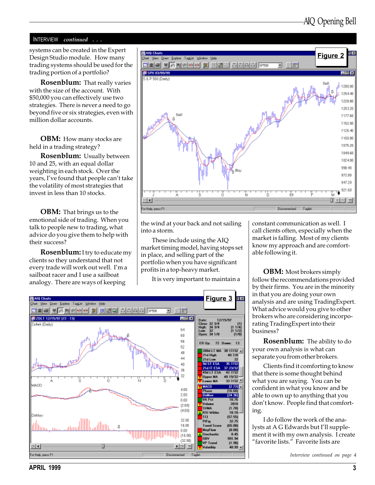#### INTERVIEW continued . . .

systems can be created in the Expert Design Studio module. How many trading systems should be used for the trading portion of a portfolio?

**Rosenblum:** That really varies with the size of the account. With \$50,000 you can effectively use two strategies. There is never a need to go beyond five or six strategies, even with million dollar accounts.

**OBM:** How many stocks are held in a trading strategy?

Rosenblum: Usually between 10 and 25, with an equal dollar weighting in each stock. Over the years, I've found that people can't take the volatility of most strategies that invest in less than 10 stocks.

**OBM:** That brings us to the emotional side of trading. When you talk to people new to trading, what advice do you give them to help with their success?

Rosenblum: I try to educate my clients so they understand that not every trade will work out well. I'm a sailboat racer and I use a sailboat analogy. There are ways of keeping



the wind at your back and not sailing into a storm.

These include using the AIQ market timing model, having stops set in place, and selling part of the portfolio when you have significant profits in a top-heavy market.

It is very important to maintain a



constant communication as well. I call clients often, especially when the market is falling. Most of my clients know my approach and are comfortable following it.

**OBM:** Most brokers simply follow the recommendations provided by their firms. You are in the minority in that you are doing your own analysis and are using TradingExpert. What advice would you give to other brokers who are considering incorporating TradingExpert into their business?

**Rosenblum:** The ability to do your own analysis is what can separate you from other brokers.

Clients find it comforting to know that there is some thought behind what you are saying. You can be confident in what you know and be able to own up to anything that you don't know. People find that comforting.

I do follow the work of the analysts at A G Edwards but I'll supplement it with my own analysis. I create "favorite lists." Favorite lists are

Interview continued on page 4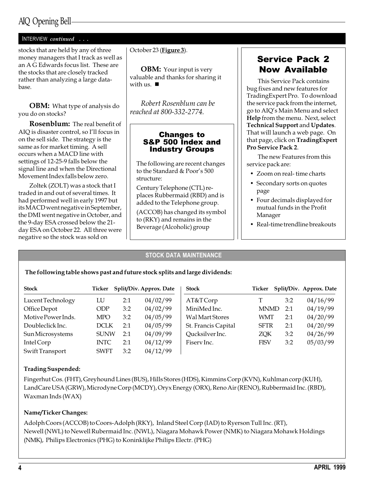## AIQ Opening Bell

you do on stocks?

| <b>INTERVIEW</b> continued                                                                                             |                                                                                              |
|------------------------------------------------------------------------------------------------------------------------|----------------------------------------------------------------------------------------------|
| stocks that are held by any of three<br>money managers that I track as well as<br>an A G Edwards focus list. These are | October 23 (Figure 3).                                                                       |
| the stocks that are closely tracked<br>rather than analyzing a large data-<br>base.                                    | <b>OBM:</b> Your input is very<br>valuable and thanks for sharing<br>with us. $\blacksquare$ |
| <b>OBM:</b> What type of analysis do                                                                                   | Robert Rosenblum can be                                                                      |

Rosenblum: The real benefit of AIQ is disaster control, so I'll focus in on the sell side. The strategy is the same as for market timing. A sell occurs when a MACD line with settings of 12-25-9 falls below the signal line and when the Directional Movement Index falls below zero.

Zoltek (ZOLT) was a stock that I traded in and out of several times. It had performed well in early 1997 but its MACD went negative in September, the DMI went negative in October, and the 9-day ESA crossed below the 21 day ESA on October 22. All three were negative so the stock was sold on

valuable and thanks for sharing it

reached at 800-332-2774.

#### Changes to S&P 500 Index and Industry Groups

The following are recent changes to the Standard & Poor's 500 structure:

Century Telephone (CTL) replaces Rubbermaid (RBD) and is added to the Telephone group.

(ACCOB) has changed its symbol to (RKY) and remains in the Beverage (Alcoholic) group

## Service Pack 2 Now Available

This Service Pack contains bug fixes and new features for TradingExpert Pro. To download the service pack from the internet, go to AIQ's Main Menu and select Help from the menu. Next, select Technical Support and Updates. That will launch a web page. On that page, click on TradingExpert Pro Service Pack 2.

The new Features from this service pack are:

- Zoom on real- time charts
- Secondary sorts on quotes page
- Four decimals displayed for mutual funds in the Profit Manager
- Real-time trendline breakouts

#### STOCK DATA MAINTENANCE

#### The following table shows past and future stock splits and large dividends:

| <b>Stock</b>       | Ticker      |     | Split/Div. Approx. Date | <b>Stock</b>           | Ticker      |     | Split/Div. Approx. Date |
|--------------------|-------------|-----|-------------------------|------------------------|-------------|-----|-------------------------|
| Lucent Technology  | LU          | 2:1 | 04/02/99                | AT&T Corp              |             | 3:2 | 04/16/99                |
| Office Depot       | <b>ODP</b>  | 3:2 | 04/02/99                | MiniMed Inc.           | <b>MNMD</b> | 2:1 | 04/19/99                |
| Motive Power Inds. | <b>MPO</b>  | 3:2 | 04/05/99                | <b>Wal Mart Stores</b> | WMT         | 2:1 | 04/20/99                |
| Doubleclick Inc.   | <b>DCLK</b> | 2:1 | 04/05/99                | St. Francis Capital    | <b>SFTR</b> | 2:1 | 04/20/99                |
| Sun Microsystems   | <b>SUNW</b> | 2:1 | 04/09/99                | Qucksilver Inc.        | ZQK         | 3:2 | 04/26/99                |
| Intel Corp         | <b>INTC</b> | 2:1 | 04/12/99                | Fisery Inc.            | <b>FISV</b> | 3:2 | 05/03/99                |
| Swift Transport    | <b>SWFT</b> | 3:2 | 04/12/99                |                        |             |     |                         |

#### Trading Suspended:

Fingerhut Cos. (FHT), Greyhound Lines (BUS), Hills Stores (HDS), Kimmins Corp (KVN), Kuhlman corp (KUH), LandCare USA (GRW), Microdyne Corp (MCDY), Oryx Energy (ORX), Reno Air (RENO), Rubbermaid Inc. (RBD), Waxman Inds (WAX)

#### Name/Ticker Changes:

Adolph Coors (ACCOB) to Coors-Adolph (RKY), Inland Steel Corp (IAD) to Ryerson Tull Inc. (RT), Newell (NWL) to Newell Rubermaid Inc. (NWL), Niagara Mohawk Power (NMK) to Niagara Mohawk Holdings (NMK), Philips Electronics (PHG) to Koninklijke Philips Electr. (PHG)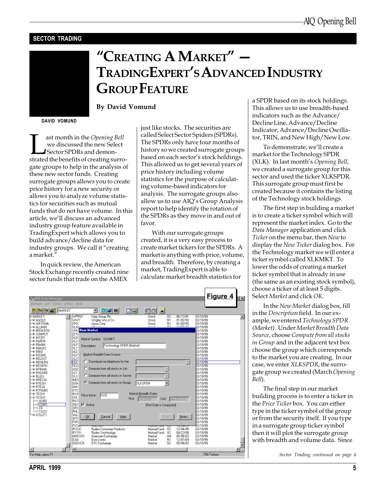#### SECTOR TRADING

# "CREATING A MARKET"  $-$ TRADINGEXPERT'S ADVANCED INDUSTRY **GROUP FEATURE**

DAVID VOMUND

ast month in the *Opening Bell*<br>
we discussed the new Select<br>
Sector SPDRs and demon-<br>
strated the benefits of creating surrowe discussed the new Select Sector SPDRs and demongate groups to help in the analysis of these new sector funds. Creating surrogate groups allows you to create price history for a new security or allows you to analyze volume statistics for securities such as mutual funds that do not have volume. In this article, we'll discuss an advanced industry group feature available in TradingExpert which allows you to build advance/decline data for industry groups. We call it "creating a market.

By David Vomund

In quick review, the American Stock Exchange recently created nine sector funds that trade on the AMEX

just like stocks. The securities are called Select Sector Spiders (SPDRs). The SPDRs only have four months of history so we created surrogate groups based on each sector's stock holdings. This allowed us to get several years of price history including volume statistics for the purpose of calculating volume-based indicators for analysis. The surrogate groups also allow us to use AIQ's Group Analysis report to help identify the rotation of the SPDRs as they move in and out of favor.

With our surrogate groups created, it is a very easy process to create market tickers for the SPDRs. A market is anything with price, volume, and breadth. Therefore, by creating a market, TradingExpert is able to calculate market breadth statistics for

| e MARKET<br><b>WPPGY</b><br>08/13/91<br>03/19/99<br>Waa Braua Pic<br>Strek.<br>ūC<br>-e san p<br>WWY<br>Wrigley Wni Jr Co.<br>NV.<br>03/19/99<br>Stock.<br>01/02/92<br><b>MRK</b><br><b>Xeros Corp.</b><br>Strek.<br>w<br>01/02/92<br>03/19/99<br>- ARTRAN<br>William Character<br><b>THE PART PT</b><br>Pincak<br>nr<br>ba w≤<br>HHULA 4-<br>83/19/99<br><b>New Market</b><br>YHC<br>- BROKERS<br><b>13/19/99</b><br>lσπ<br>-* DOMPUT<br>3/19/99<br>1월 24 원<br>-+ NTER<br>13/19/99<br>Market Symbol: XLKMKT<br>一步 防御用<br>13/18/99<br>- A REANK<br>13/19/99<br>Technology SPDR (Market)<br>Department<br>$-$ FRASIC<br>13/19/99<br>þäÉ<br>⊢÷ RBIO<br><b>EPIETYLEI</b><br>Market Breadth Date Source<br><b>N.R</b>                                                                                                                                                                                                                                                                                                                                                                                                                                                                                                                                                                                                                                                                                                                                                                                                |   |
|------------------------------------------------------------------------------------------------------------------------------------------------------------------------------------------------------------------------------------------------------------------------------------------------------------------------------------------------------------------------------------------------------------------------------------------------------------------------------------------------------------------------------------------------------------------------------------------------------------------------------------------------------------------------------------------------------------------------------------------------------------------------------------------------------------------------------------------------------------------------------------------------------------------------------------------------------------------------------------------------------------------------------------------------------------------------------------------------------------------------------------------------------------------------------------------------------------------------------------------------------------------------------------------------------------------------------------------------------------------------------------------------------------------------------------------------------------------------------------------------------------------|---|
| 13/19/99<br>$-$ FIDONS<br><b>MIS</b><br>13/19/99<br>-* RELECT<br>C. Download via telephone for the<br>靨<br>E<br>371833<br>-+ RENERG<br>371999<br>⊢⊕ RESERV<br>C. Compute from all stocks in List:<br>45E<br>$-$ FIFINAN<br>13/19/99<br>boci<br>⊢⊕ ЯНСАЯЕ<br>11/19/99<br>C Dangute from all stacks in Sector<br>bavi<br>$-$ FILEIS<br>13/19/99<br>ND<br>⊢÷ RRETAI<br><b>13/19/99</b><br><b>C</b> Dompute from all stocks in Exoust<br><b>MIKSPOR</b><br>×<br><b>GSN</b><br>13/19/99<br>⊢∲ RTEDH<br>NNI<br>⊢⊕ RTELE<br>13/19/99<br>la tri<br>$-$ FITRANS<br>3/19/99<br>NYA<br>Market Breadth Dates<br><b>BPARTMEN</b><br>⊢≑ TEDHI<br>Piloe ficker: [21.1]<br>-4 TED-12<br>banı<br>13/19/99<br><b>First</b> 03/22/89<br>Last MN/DO/YY<br>RU1<br>13/19/99<br>HO ASND<br><b>IV</b> Active<br><b>LODDNS</b><br><b>DEX</b><br>3.48/99<br>(First Diate is Computed)<br>SPX<br>13/19/99<br>⊢o™s<br>∟o csco<br>PH.<br><b>BUZINSA</b><br>-* UTILITY<br>09/19/99<br>WAL<br>OK.<br><b>Cancel</b><br>Help<br>2884<br>Noter.<br>RPT!<br>03/19/99<br>FSB<br><b>13/19/99</b><br>FST <sub>m</sub><br>03/19/99<br>Mutual Fund<br>Redex Consumer Products<br>12/04/98<br><b>RYCtK</b><br>ūC<br>03/19/99<br><b>RYTIK</b><br><b>Findex Technology</b><br><b>Mutual Fund</b><br><b>DC</b><br>04/23/98<br>03/19/99<br>ANEXICH<br>Amercian Eachange<br>Market<br>AN<br>03/19/99<br>05/06/83<br><b>TLES</b><br>Market<br>N٧<br>12/01/69<br>03/19/99<br>Dow Jones<br>0 DEXCH<br><b>BTC Eachange</b><br>ŨC<br>05/06/83<br>03/19/99<br>Market |   |
| 764 Tickett<br>For Help, peace F1                                                                                                                                                                                                                                                                                                                                                                                                                                                                                                                                                                                                                                                                                                                                                                                                                                                                                                                                                                                                                                                                                                                                                                                                                                                                                                                                                                                                                                                                                | ٠ |

a SPDR based on its stock holdings. This allows us to use breadth-based indicators such as the Advance/ Decline Line, Advance/Decline Indicator, Advance/Decline Oscillator, TRIN, and New High/New Low.

To demonstrate, we'll create a market for the Technology SPDR (XLK). In last month's Opening Bell, we created a surrogate group for this sector and used the ticker XLKSPDR. This surrogate group must first be created because it contains the listing of the Technology stock holdings.

The first step in building a market is to create a ticker symbol which will represent the market index. Go to the Data Manager application and click Ticker on the menu bar, then New to display the New Ticker dialog box. For the Technology market we will enter a ticker symbol called XLKMKT. To lower the odds of creating a market ticker symbol that is already in use (the same as an existing stock symbol), choose a ticker of at least 5 digits. Select Market and click OK.

In the New Market dialog box, fill in the Description field. In our example, we entered Technology SPDR (Market). Under Market Breadth Data Source, choose Compute from all stocks in Group and in the adjacent text box choose the group which corresponds to the market you are creating. In our case, we enter XLKSPDR, the surrogate group we created (March Opening Bell).

The final step in our market building process is to enter a ticker in the Price Ticker box. You can either type in the ticker symbol of the group or from the security itself. If you type in a surrogate group ticker symbol then it will plot the surrogate group with breadth and volume data. Since

Sector Trading continued on page 6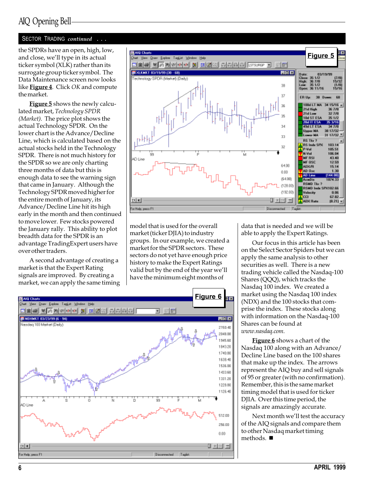## AIQ Opening Bell

#### SECTOR TRADING continued . . .

and close, we'll type in its actual ticker symbol (XLK) rather than its surrogate group ticker symbol. The Data Maintenance screen now looks like **Figure 4**. Click *OK* and compute the market.

**Figure 5** shows the newly calculated market, Technology SPDR (Market). The price plot shows the actual Technology SPDR. On the lower chart is the Advance/Decline Line, which is calculated based on the actual stocks held in the Technology SPDR. There is not much history for the SPDR so we are only charting three months of data but this is enough data to see the warning sign that came in January. Although the Technology SPDR moved higher for the entire month of January, its Advance/Decline Line hit its high early in the month and then continued to move lower. Few stocks powered the January rally. This ability to plot breadth data for the SPDR is an advantage TradingExpert users have over other traders.

A second advantage of creating a market is that the Expert Rating signals are improved. By creating a market, we can apply the same timing



model that is used for the overall market (ticker DJIA) to industry groups. In our example, we created a market for the SPDR sectors. These sectors do not yet have enough price history to make the Expert Ratings valid but by the end of the year we'll have the minimum eight months of



data that is needed and we will be able to apply the Expert Ratings.

Our focus in this article has been on the Select Sector Spiders but we can apply the same analysis to other securities as well. There is a new trading vehicle called the Nasdaq-100 Shares (QQQ), which tracks the Nasdaq 100 index. We created a market using the Nasdaq 100 index (NDX) and the 100 stocks that comprise the index. These stocks along with information on the Nasdaq-100 Shares can be found at www.nasdaq.com.

Figure 6 shows a chart of the Nasdaq 100 along with an Advance/ Decline Line based on the 100 shares that make up the index. The arrows represent the AIQ buy and sell signals of 95 or greater (with no confirmation). Remember, this is the same market timing model that is used for ticker DJIA. Over this time period, the signals are amazingly accurate.

Next month we'll test the accuracy of the AIQ signals and compare them to other Nasdaq market timing methods.  $\blacksquare$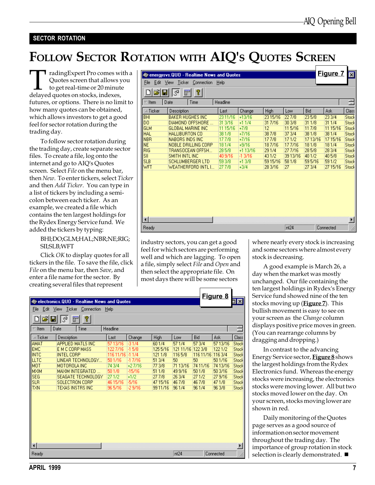#### SECTOR ROTATION

## FOLLOW SECTOR ROTATION WITH AIQ'S QUOTES SCREEN

TradingExpert Pro comes with a<br>Quotes screen that allows you<br>to get real-time or 20 minute<br>delayed quotes on stocks, indexes, Quotes screen that allows you to get real-time or 20 minute delayed quotes on stocks, indexes, futures, or options. There is no limit to how many quotes can be obtained, which allows investors to get a good feel for sector rotation during the trading day.

To follow sector rotation during the trading day, create separate sector files. To create a file, log onto the internet and go to AIQ's Quotes screen. Select File on the menu bar, then New. To enter tickers, select Ticker and then Add Ticker. You can type in a list of tickers by including a semicolon between each ticker. As an example, we created a file which contains the ten largest holdings for the Rydex Energy Service fund. We added the tickers by typing:

#### BHI;DO;GLM;HAL;NBR;NE;RIG; SII;SLB;WFT

Click OK to display quotes for all tickers in the file. To save the file, click File on the menu bar, then Save, and enter a file name for the sector. By creating several files that represent

| <b>Converges Canadian Address</b> and Quotes            |                                       |          |           |          |          |         | <b>Figure 7</b> | $\vert x \vert$       |
|---------------------------------------------------------|---------------------------------------|----------|-----------|----------|----------|---------|-----------------|-----------------------|
| File<br>Edit<br>View<br>Ticker<br>Connection<br>Help    |                                       |          |           |          |          |         |                 |                       |
|                                                         | P<br>$\mathcal{Z}^{\sharp}$<br>酽<br>Η |          |           |          |          |         |                 |                       |
| Headline<br>Date<br>Time<br>Item<br>$\overline{\nabla}$ |                                       |          |           |          |          |         | 를               |                       |
| $\triangle$ Ticker                                      | Description                           | Last     | Change    | High     | Low      | Bid     | Ask             | Class                 |
| BHI                                                     | <b>BAKER HUGHES INC</b>               | 23 11/16 | $+13/16$  | 23 15/16 | 227/8    | 235/8   | 23 3/4          | Stock                 |
| DO.                                                     | DIAMOND OFFSHORE                      | 31 3/16  | $+11/4$   | 31 7/16  | 30 3/8   | 311/8   | 31 1/4          | Stock                 |
| GLM                                                     | <b>GLOBAL MARINE INC.</b>             | 11 15/16 | $+7/8$    | 12       | 115/16   | 11 7/8  | 11 15/16        | Stock                 |
| <b>HAL</b>                                              | HALLIBURTON CO                        | 381/8    | $+7/16$   | 387/8    | 37 3/4   | 381/8   | 38 1/4          | Stock                 |
| <b>NBR</b>                                              | <b>NABORS INDS INC</b>                | 177/8    | $+7/16$   | 177/8    | 171/2    | 1713/16 | 1715/16         | Stock                 |
| <b>NE</b>                                               | NOBLE DRILLING CORP                   | 181/4    | $+9/16$   | 187/16   | 177/16   | 181/8   | 181/4           | Stock                 |
| <b>RIG</b>                                              | TRANSOCEAN OFFSH                      | 285/8    | $+113/16$ | 291/4    | 277/16   | 285/8   | 28 3/4          | Stock                 |
| SII                                                     | <b>SMITH INTL INC</b>                 | 40 9/16  | -1.3/16   | 431/2    | 39 13/16 | 401/2   | 405/8           | Stock                 |
| <b>SLB</b>                                              | <b>SCHLUMBERGER LTD</b>               | 593/8    | $+13/8$   | 59 15/16 | 581/8    | 595/16  | 591/2           | Stock                 |
| WFT                                                     | WEATHERFORD INTL I                    | 277/8    | $+3/4$    | 28 3/16  | 27       | 27 3/4  | 27 15/16        | Stock                 |
|                                                         |                                       |          |           |          |          |         |                 |                       |
| $\blacksquare$                                          |                                       |          |           |          |          |         |                 | $\blacktriangleright$ |
| Ready                                                   |                                       |          |           |          | nt24     |         | Connected       | h                     |

industry sectors, you can get a good feel for which sectors are performing well and which are lagging. To open a file, simply select File and Open and then select the appropriate file. On most days there will be some sectors

|                               |                                   |                                            |           |          |          |           |                   | Figure 8  |       |
|-------------------------------|-----------------------------------|--------------------------------------------|-----------|----------|----------|-----------|-------------------|-----------|-------|
|                               |                                   | electronics.QUO - Realtime News and Quotes |           |          |          |           |                   |           | ⊐l×l  |
| Edit<br>File                  | View                              | Ticker<br>Connection                       | Help      |          |          |           |                   |           |       |
| اتت                           |                                   | P                                          |           |          |          |           |                   |           |       |
|                               | $\mathcal{C}^{\Phi}$<br>$\boxdot$ | 酽                                          |           |          |          |           |                   |           |       |
| $\overline{\phantom{a}}$ Item | Date                              | Time                                       | Headline  |          |          |           |                   |           | Ē     |
| $\triangle$ Ticker            |                                   | Description                                | Last      | Change   | High     | Low       | Bid               | Ask       | Class |
| <b>AMAT</b>                   |                                   | <b>APPLIED MATLS INC</b>                   | 5713/16   | $-31/4$  | 601/4    | 571/4     | 57 3/4            | 57 13/16  | Stock |
| <b>EMC</b>                    |                                   | E M C CORP MASS                            | 1227/16   | $-15/8$  | 1255/16  | 121 11/16 | 122 3/8           | 1221/2    | Stock |
| <b>INTC</b>                   |                                   | <b>INTEL CORP</b>                          | 116 11/16 | $-11/4$  | 121 1/8  | 1165/8    | 116 11/16 116 3/4 |           | Stock |
| <b>LLTC</b>                   |                                   | LINEAR TECHNOLOGY                          | 501/16    | -17/16   | 51 3/4   | 50        | 50                | 501/16    | Stock |
| MOT                           |                                   | MOTOROLA INC                               | 74 3/4    | $+27/16$ | 77 3/8   | 71 13/16  | 74 11/16          | 7413/16   | Stock |
| <b>MXIM</b>                   |                                   | <b>MAXIM INTEGRATED</b>                    | 501/8     | -15/16   | 51 1/8   | 49 9/16   | 501/8             | 50 3/16   | Stock |
| <b>SEG</b>                    |                                   | SEAGATE TECHNOLOGY                         | 271/2     | $+1/2$   | 277/8    | 26 3/4    | 271/2             | 279/16    | Stock |
| <b>SLR</b>                    |                                   | SOLECTRON CORP                             | 46 15/16  | $-5/16$  | 47 15/16 | 467/8     | 4677/8            | 471/8     | Stock |
| <b>TXN</b>                    |                                   | <b>TEXAS INSTRS INC</b>                    | 965/16    | $-29/16$ | 99 11/16 | 961/4     | 961/4             | 96 3/8    | Stock |
| $\left  \cdot \right $        |                                   |                                            |           |          |          |           |                   |           | ▸     |
| Ready                         |                                   |                                            |           |          |          | nt24      |                   | Connected |       |

where nearly every stock is increasing and some sectors where almost every stock is decreasing.

A good example is March 26, a day when the market was mostly unchanged. Our file containing the ten largest holdings in Rydex's Energy Service fund showed nine of the ten stocks moving up (**Figure** 7). This bullish movement is easy to see on your screen as the Change column displays positive price moves in green. (You can rearrange columns by dragging and dropping.)

In contrast to the advancing Energy Service sector, **Figure 8** shows the largest holdings from the Rydex Electronics fund. Whereas the energy stocks were increasing, the electronics stocks were moving lower. All but two stocks moved lower on the day. On your screen, stocks moving lower are shown in red.

Daily monitoring of the Quotes page serves as a good source of information on sector movement throughout the trading day. The importance of group rotation in stock selection is clearly demonstrated.  $\blacksquare$